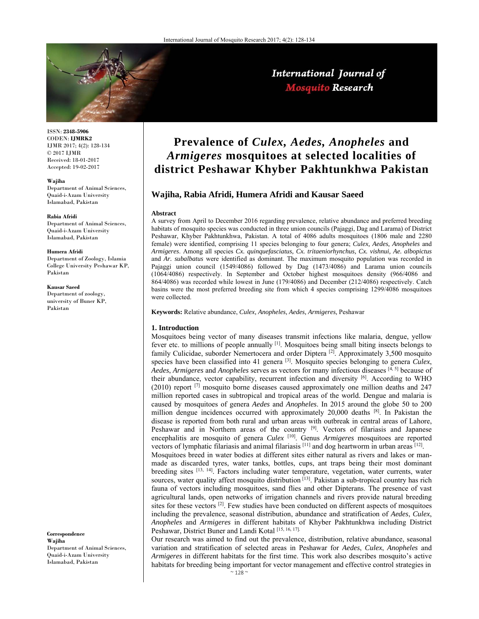

ISSN: **2348-5906** CODEN: **IJMRK2** IJMR 2017; 4(2): 128-134 © 2017 IJMR Received: 18-01-2017 Accepted: 19-02-2017

#### **Wajiha**

Department of Animal Sciences, Quaid-i-Azam University Islamabad, Pakistan

#### **Rabia Afridi**

Department of Animal Sciences, Quaid-i-Azam University Islamabad, Pakistan

#### **Humera Afridi**

Department of Zoology, Islamia College University Peshawar KP, Pakistan

#### **Kausar Saeed**

Department of zoology, university of Buner KP, Pakistan

**Correspondence Wajiha**  Department of Animal Sciences, Quaid-i-Azam University Islamabad, Pakistan

# **Prevalence of** *Culex, Aedes, Anopheles* **and**  *Armigeres* **mosquitoes at selected localities of district Peshawar Khyber Pakhtunkhwa Pakistan**

## **Wajiha, Rabia Afridi, Humera Afridi and Kausar Saeed**

#### **Abstract**

A survey from April to December 2016 regarding prevalence, relative abundance and preferred breeding habitats of mosquito species was conducted in three union councils (Pajaggi, Dag and Larama) of District Peshawar, Khyber Pakhtunkhwa, Pakistan. A total of 4086 adults mosquitoes (1806 male and 2280 female) were identified, comprising 11 species belonging to four genera; *Culex, Aedes, Anopheles* and *Armigeres*. Among all species *Cx. quinquefasciatus, Cx. tritaeniorhynchus, Cx. vishnui, Ae. albopictus*  and *Ar. subalbatus* were identified as dominant. The maximum mosquito population was recorded in Pajaggi union council (1549/4086) followed by Dag (1473/4086) and Larama union councils (1064/4086) respectively. In September and October highest mosquitoes density (966/4086 and 864/4086) was recorded while lowest in June (179/4086) and December (212/4086) respectively. Catch basins were the most preferred breeding site from which 4 species comprising 1299/4086 mosquitoes were collected.

**Keywords:** Relative abundance, *Culex, Anopheles, Aedes, Armigeres,* Peshawar

#### **1. Introduction**

Mosquitoes being vector of many diseases transmit infections like malaria, dengue, yellow fever etc. to millions of people annually [1]. Mosquitoes being small biting insects belongs to family Culicidae, suborder Nemertocera and order Diptera [2]. Approximately 3,500 mosquito species have been classified into 41 genera <sup>[3]</sup>. Mosquito species belonging to genera *Culex*, *Aedes*, *Armigeres* and *Anopheles* serves as vectors for many infectious diseases [4, 5] because of their abundance, vector capability, recurrent infection and diversity [6]. According to WHO (2010) report [7] mosquito borne diseases caused approximately one million deaths and 247 million reported cases in subtropical and tropical areas of the world. Dengue and malaria is caused by mosquitoes of genera *Aedes* and *Anopheles*. In 2015 around the globe 50 to 200 million dengue incidences occurred with approximately 20,000 deaths [8]. In Pakistan the disease is reported from both rural and urban areas with outbreak in central areas of Lahore, Peshawar and in Northern areas of the country <sup>[9]</sup>. Vectors of filariasis and Japanese encephalitis are mosquito of genera *Culex* [10]. Genus *Armigeres* mosquitoes are reported vectors of lymphatic filariasis and animal filariasis [11] and dog heartworm in urban areas [12].

Mosquitoes breed in water bodies at different sites either natural as rivers and lakes or manmade as discarded tyres, water tanks, bottles, cups, ant traps being their most dominant breeding sites [13, 14]. Factors including water temperature, vegetation, water currents, water sources, water quality affect mosquito distribution  $[13]$ . Pakistan a sub-tropical country has rich fauna of vectors including mosquitoes, sand flies and other Dipterans. The presence of vast agricultural lands, open networks of irrigation channels and rivers provide natural breeding sites for these vectors  $[2]$ . Few studies have been conducted on different aspects of mosquitoes including the prevalence, seasonal distribution, abundance and stratification of *Aedes*, *Culex*, *Anopheles* and *Armigeres* in different habitats of Khyber Pakhtunkhwa including District Peshawar, District Buner and Landi Kotal [15, 16, 17].

Our research was aimed to find out the prevalence, distribution, relative abundance, seasonal variation and stratification of selected areas in Peshawar for *Aedes*, *Culex*, *Anopheles* and *Armigeres* in different habitats for the first time. This work also describes mosquito's active habitats for breeding being important for vector management and effective control strategies in

## International Journal of **Mosquito Research**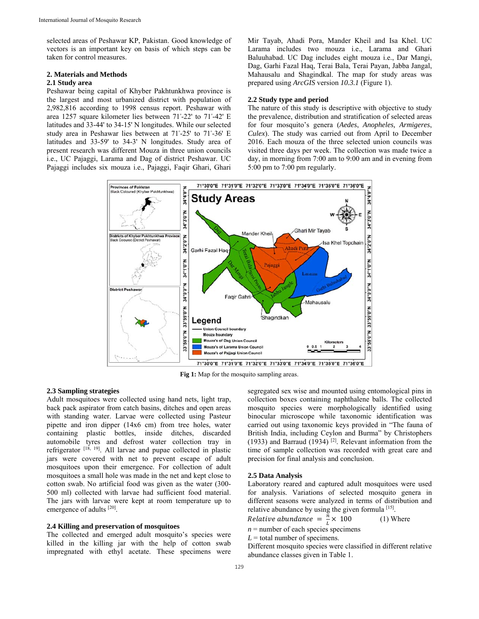selected areas of Peshawar KP, Pakistan. Good knowledge of vectors is an important key on basis of which steps can be taken for control measures.

## **2. Materials and Methods**

## **2.1 Study area**

Peshawar being capital of Khyber Pakhtunkhwa province is the largest and most urbanized district with population of 2,982,816 according to 1998 census report. Peshawar with area 1257 square kilometer lies between 71°-22' to 71°-42' E latitudes and 33-44' to 34-15' N longitudes. While our selected study area in Peshawar lies between at 71°-25' to 71°-36' E latitudes and 33-59' to 34-3' N longitudes. Study area of present research was different Mouza in three union councils i.e., UC Pajaggi, Larama and Dag of district Peshawar. UC Pajaggi includes six mouza i.e., Pajaggi, Faqir Ghari, Ghari

Mir Tayab, Ahadi Pora, Mander Kheil and Isa Khel. UC Larama includes two mouza i.e., Larama and Ghari Baluuhabad. UC Dag includes eight mouza i.e., Dar Mangi, Dag, Garhi Fazal Haq, Terai Bala, Terai Payan, Jabba Jangal, Mahausalu and Shagindkal. The map for study areas was prepared using *ArcGIS* version *10.3.1* (Figure 1).

#### **2.2 Study type and period**

The nature of this study is descriptive with objective to study the prevalence, distribution and stratification of selected areas for four mosquito's genera (*Aedes*, *Anopheles, Armigeres*, *Culex*). The study was carried out from April to December 2016. Each mouza of the three selected union councils was visited three days per week. The collection was made twice a day, in morning from 7:00 am to 9:00 am and in evening from 5:00 pm to 7:00 pm regularly.



**Fig 1:** Map for the mosquito sampling areas.

## **2.3 Sampling strategies**

Adult mosquitoes were collected using hand nets, light trap, back pack aspirator from catch basins, ditches and open areas with standing water. Larvae were collected using Pasteur pipette and iron dipper (14x6 cm) from tree holes, water containing plastic bottles, inside ditches, discarded automobile tyres and defrost water collection tray in refrigerator [18, 19]. All larvae and pupae collected in plastic jars were covered with net to prevent escape of adult mosquitoes upon their emergence. For collection of adult mosquitoes a small hole was made in the net and kept close to cotton swab. No artificial food was given as the water (300- 500 ml) collected with larvae had sufficient food material. The jars with larvae were kept at room temperature up to emergence of adults [20].

## **2.4 Killing and preservation of mosquitoes**

The collected and emerged adult mosquito's species were killed in the killing jar with the help of cotton swab impregnated with ethyl acetate. These specimens were segregated sex wise and mounted using entomological pins in collection boxes containing naphthalene balls. The collected mosquito species were morphologically identified using binocular microscope while taxonomic identification was carried out using taxonomic keys provided in "The fauna of British India, including Ceylon and Burma" by Christophers (1933) and Barraud (1934) [2]. Relevant information from the time of sample collection was recorded with great care and precision for final analysis and conclusion.

#### **2.5 Data Analysis**

Laboratory reared and captured adult mosquitoes were used for analysis. Variations of selected mosquito genera in different seasons were analyzed in terms of distribution and relative abundance by using the given formula  $[15]$ .

Relative abundance =  $\frac{\bar{n}}{L} \times 100$  (1) Where

 $n =$  number of each species specimens

 $L =$  total number of specimens.

Different mosquito species were classified in different relative abundance classes given in Table 1.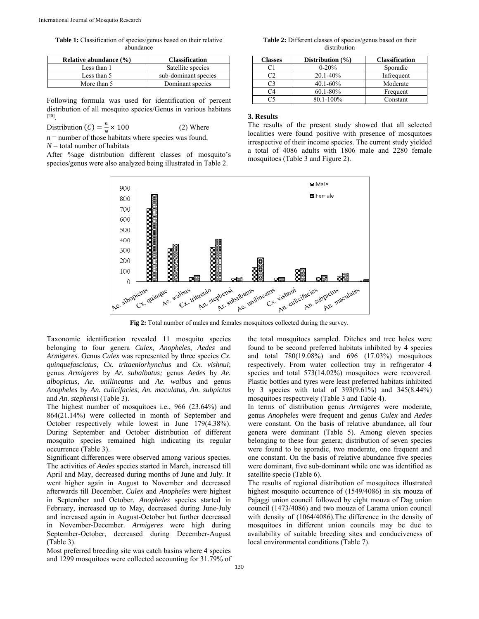**Table 1:** Classification of species/genus based on their relative abundance

| Relative abundance (%) | <b>Classification</b> |  |  |
|------------------------|-----------------------|--|--|
| Less than 1            | Satellite species     |  |  |
| Less than 5            | sub-dominant species  |  |  |
| More than 5            | Dominant species      |  |  |

Following formula was used for identification of percent distribution of all mosquito species/Genus in various habitats [20].

Distribution (C) = 
$$
\frac{n}{N}
$$
 × 100 (2) Where

 $n =$  number of those habitats where species was found,  $N =$  total number of habitats

After %age distribution different classes of mosquito's species/genus were also analyzed being illustrated in Table 2.



**Fig 2:** Total number of males and females mosquitoes collected during the survey.

Taxonomic identification revealed 11 mosquito species belonging to four genera *Culex*, *Anopheles*, *Aedes* and *Armigeres*. Genus *Culex* was represented by three species *Cx. quinquefasciatus*, *Cx. tritaeniorhynchus* and *Cx. vishnui*; genus *Armigeres* by *Ar. subalbatus;* genus *Aedes* by *Ae. albopictus, Ae. unilineatus* and *Ae. walbus* and genus *Anopheles* by *An. culicifacies*, *An. maculatus, An. subpictus* and *An. stephensi* (Table 3).

The highest number of mosquitoes i.e., 966 (23.64%) and 864(21.14%) were collected in month of September and October respectively while lowest in June 179(4.38%). During September and October distribution of different mosquito species remained high indicating its regular occurrence (Table 3).

Significant differences were observed among various species. The activities of *Aedes* species started in March, increased till April and May, decreased during months of June and July. It went higher again in August to November and decreased afterwards till December. *Culex* and *Anopheles* were highest in September and October. *Anopheles* species started in February, increased up to May, decreased during June-July and increased again in August-October but further decreased in November-December. *Armigeres* were high during September-October, decreased during December-August (Table 3).

Most preferred breeding site was catch basins where 4 species and 1299 mosquitoes were collected accounting for 31.79% of the total mosquitoes sampled. Ditches and tree holes were found to be second preferred habitats inhibited by 4 species and total 780(19.08%) and 696 (17.03%) mosquitoes respectively. From water collection tray in refrigerator 4 species and total 573(14.02%) mosquitoes were recovered. Plastic bottles and tyres were least preferred habitats inhibited by 3 species with total of 393(9.61%) and 345(8.44%) mosquitoes respectively (Table 3 and Table 4).

In terms of distribution genus *Armigeres* were moderate, genus *Anopheles* were frequent and genus *Culex* and *Aedes* were constant. On the basis of relative abundance, all four genera were dominant (Table 5). Among eleven species belonging to these four genera; distribution of seven species were found to be sporadic, two moderate, one frequent and one constant. On the basis of relative abundance five species were dominant, five sub-dominant while one was identified as satellite specie (Table 6).

The results of regional distribution of mosquitoes illustrated highest mosquito occurrence of (1549/4086) in six mouza of Pajaggi union council followed by eight mouza of Dag union council (1473/4086) and two mouza of Larama union council with density of (1064/4086).The difference in the density of mosquitoes in different union councils may be due to availability of suitable breeding sites and conduciveness of local environmental conditions (Table 7).

**Table 2:** Different classes of species/genus based on their distribution

| <b>Classes</b> | Distribution $(\% )$ | <b>Classification</b> |
|----------------|----------------------|-----------------------|
| С1             | $0 - 20%$            | Sporadic              |
| ີາ             | $20.1 - 40\%$        | Infrequent            |
| C3             | $40.1 - 60\%$        | Moderate              |
| C4             | $60.1 - 80\%$        | Frequent              |
|                | 80.1-100%            | Constant              |

## **3. Results**

The results of the present study showed that all selected localities were found positive with presence of mosquitoes irrespective of their income species. The current study yielded a total of 4086 adults with 1806 male and 2280 female mosquitoes (Table 3 and Figure 2).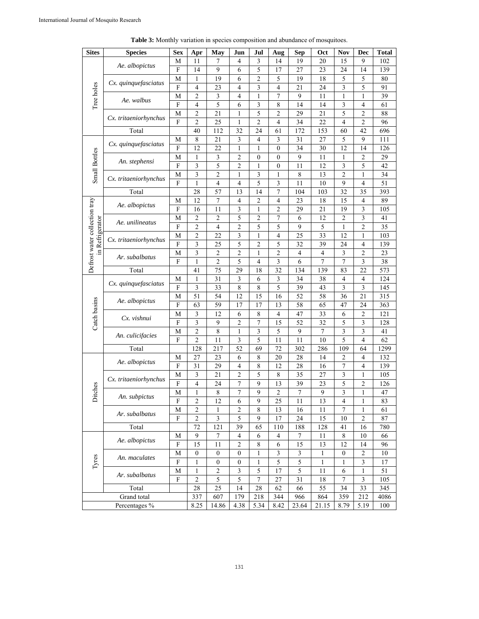| 7<br>4<br>14<br>19<br>20<br>15<br>102<br>М<br>11<br>3<br>9<br>Ae. albopictus<br>$\overline{F}$<br>5<br>9<br>6<br>17<br>27<br>14<br>23<br>24<br>14<br>139<br>19<br>6<br>$\overline{2}$<br>5<br>19<br>18<br>5<br>5<br>M<br>$\mathbf{1}$<br>80<br>Cx. quinquefasciatus<br>Tree holes<br>${\bf F}$<br>3<br>5<br>$\overline{4}$<br>23<br>4<br>3<br>$\overline{4}$<br>21<br>24<br>91<br>$\mathfrak{2}$<br>$\tau$<br>9<br>M<br>$\mathfrak{Z}$<br>$\overline{4}$<br>$\mathbf{1}$<br>11<br>1<br>$\mathbf{1}$<br>39<br>Ae. walbus<br>$\overline{F}$<br>$\mathfrak s$<br>3<br>14<br>3<br>61<br>$\overline{4}$<br>6<br>8<br>14<br>$\overline{4}$<br>5<br>$\overline{c}$<br>5<br>$\overline{2}$<br>21<br>$\overline{c}$<br>29<br>21<br>88<br>M<br>1<br>Cx. tritaeniorhynchus<br>$\overline{F}$<br>$\overline{c}$<br>$\overline{2}$<br>$\overline{2}$<br>$\overline{4}$<br>34<br>22<br>$\overline{4}$<br>25<br>1<br>96<br>32<br>153<br>42<br>696<br>Total<br>40<br>112<br>24<br>61<br>172<br>60<br>$\,$ 8 $\,$<br>3<br>4<br>3<br>31<br>27<br>5<br>9<br>21<br>111<br>M<br>Cx. quinquefasciatus<br>F<br>12<br>22<br>$\boldsymbol{0}$<br>34<br>30<br>12<br>126<br>1<br>$\mathbf{1}$<br>14<br><b>Small Bottles</b><br>$\mathfrak{Z}$<br>$\overline{2}$<br>$\boldsymbol{0}$<br>9<br>11<br>$\overline{2}$<br>29<br>M<br>0<br>1<br>1<br>An. stephensi<br>F<br>3<br>42<br>3<br>5<br>2<br>$\boldsymbol{0}$<br>11<br>12<br>5<br>1<br>3<br>$\overline{c}$<br>3<br>13<br>$\overline{c}$<br>34<br>M<br>1<br>8<br>1<br>1<br>Cx. tritaeniorhynchus<br>$\overline{F}$<br>$\overline{4}$<br>$\overline{4}$<br>5<br>11<br>9<br>$\overline{4}$<br>51<br>1<br>3<br>10<br>$\overline{7}$<br>57<br>32<br>13<br>35<br>393<br>Total<br>28<br>14<br>104<br>103<br>7<br>12<br>$\overline{4}$<br>$\overline{2}$<br>$\overline{\mathbf{4}}$<br>23<br>18<br>15<br>89<br>Defrost water collection tray<br>M<br>$\overline{4}$<br>Ae. albopictus<br>$\overline{F}$<br>11<br>3<br>$\sqrt{2}$<br>$\mathfrak{Z}$<br>16<br>$\mathbf{1}$<br>29<br>21<br>19<br>105<br>$\mathfrak{2}$<br>$\overline{c}$<br>5<br>$\boldsymbol{7}$<br>$\mathfrak{Z}$<br>2<br>6<br>12<br>2<br>41<br>in Refrigerator<br>M<br>Ae. unilineatus<br>F<br>5<br>5<br>35<br>2<br>4<br>2<br>9<br>5<br>1<br>2<br>$\overline{c}$<br>3<br>22<br>$\overline{4}$<br>25<br>33<br>12<br>103<br>$\mathbf{1}$<br>1<br>M<br>Cx. tritaeniorhynchus<br>F<br>5<br>3<br>$\overline{2}$<br>5<br>32<br>$\overline{4}$<br>25<br>39<br>24<br>139<br>3<br>$\overline{c}$<br>$\sqrt{2}$<br>$\overline{c}$<br>$\overline{c}$<br>3<br>M<br>$\mathbf{1}$<br>$\overline{4}$<br>$\overline{4}$<br>23<br>Ar. subalbatus<br>$\overline{F}$<br>$\overline{2}$<br>5<br>$\overline{\mathbf{3}}$<br>$\overline{7}$<br>$\overline{7}$<br>$\overline{\mathbf{3}}$<br>$\overline{38}$<br>$\overline{4}$<br>6<br>$\mathbf{1}$<br>29<br>32<br>134<br>83<br>22<br>573<br>Total<br>41<br>75<br>18<br>139<br>124<br>31<br>3<br>$\mathfrak{Z}$<br>$\overline{4}$<br>1<br>6<br>34<br>38<br>4<br>М<br>Cx. quinquefasciatus<br>F<br>5<br>39<br>3<br>145<br>3<br>33<br>8<br>8<br>43<br>3<br>51<br>54<br>12<br>15<br>16<br>52<br>36<br>21<br>315<br>58<br>M<br>Catch basins<br>Ae. albopictus<br>$\mathbf{F}$<br>58<br>63<br>59<br>17<br>17<br>13<br>65<br>47<br>24<br>363<br>8<br>47<br>33<br>$\overline{2}$<br>M<br>3<br>12<br>6<br>$\overline{4}$<br>6<br>121<br>Cx. vishnui<br>$\rm F$<br>3<br>9<br>$\overline{7}$<br>$\overline{32}$<br>5<br>$\overline{\mathbf{3}}$<br>$\overline{2}$<br>15<br>52<br>128<br>$\sqrt{2}$<br>$\overline{8}$<br>3<br>$\overline{7}$<br>$\overline{\mathbf{3}}$<br>$\overline{\mathbf{3}}$<br>5<br>9<br>M<br>$\mathbf{1}$<br>41<br>An. culicifacies<br>5<br>$\overline{2}$<br>5<br>$\overline{4}$<br>62<br>F<br>11<br>3<br>11<br>11<br>10<br>217<br>69<br>72<br>1299<br>Total<br>128<br>52<br>302<br>286<br>109<br>64<br>27<br>6<br>8<br>28<br>14<br>$\overline{4}$<br>132<br>23<br>20<br>2<br>M<br>Ae. albopictus<br>$\overline{F}$<br>4<br>8<br>12<br>7<br>$\overline{4}$<br>31<br>29<br>28<br>16<br>139<br>5<br>$\overline{c}$<br>3<br>$\mathbf{1}$<br>M<br>3<br>21<br>8<br>35<br>27<br>105<br>Cx. tritaeniorhynchus<br>$\overline{\mathrm{F}}$<br>$\sqrt{ }$<br>5<br>$\overline{4}$<br>9<br>39<br>23<br>$\overline{c}$<br>24<br>13<br>126<br>Ditches<br>7<br>$\sqrt{ }$<br>9<br>$\mathbf{M}$<br>8<br>9<br>$\mathfrak{2}$<br>3<br>$\mathbf{1}$<br>47<br>1<br>An. subpictus<br>$\sqrt{2}$<br>9<br>25<br>13<br>83<br>12<br>11<br>4<br>F<br>1<br>6<br>$\mathfrak{2}$<br>$\overline{c}$<br>13<br>$\tau$<br>M<br>$\mathbf{1}$<br>8<br>16<br>11<br>61<br>1<br>Ar. subalbatus<br>5<br>${\bf F}$<br>$\sqrt{2}$<br>$\mathfrak z$<br>17<br>24<br>15<br>$\sqrt{2}$<br>87<br>9<br>10<br>72<br>39<br>Total<br>121<br>65<br>110<br>188<br>128<br>16<br>780<br>41<br>9<br>$\tau$<br>$\overline{4}$<br>$\tau$<br>11<br>8<br>10<br>М<br>6<br>66<br>4<br>Ae. albopictus<br>${\bf F}$<br>$\overline{2}$<br>13<br>15<br>11<br>8<br>6<br>15<br>12<br>14<br>96<br>$\mathfrak{Z}$<br>$\mathbf M$<br>$\boldsymbol{0}$<br>$\boldsymbol{0}$<br>$\boldsymbol{0}$<br>$\mathfrak{Z}$<br>$\mathbf{1}$<br>$\mathfrak{2}$<br>10<br>$\mathbf{1}$<br>$\boldsymbol{0}$<br>Tyres<br>An. maculates<br>$\overline{5}$<br>${\bf F}$<br>5<br>$\mathfrak{Z}$<br>$17\,$<br>$\mathbf{1}$<br>$\boldsymbol{0}$<br>$\boldsymbol{0}$<br>$\mathbf{1}$<br>$\mathbf{1}$<br>1<br>17<br>M<br>2<br>3<br>5<br>5<br>11<br>51<br>1<br>6<br>1<br>Ar. subalbatus<br>5<br>$\sqrt{2}$<br>$\sqrt{5}$<br>31<br>$18\,$<br>$\mathfrak{Z}$<br>F<br>7<br>27<br>105<br>7<br>$28\,$<br>14<br>28<br>55<br>34<br>33<br>Total<br>25<br>62<br>66<br>345<br>Grand total<br>337<br>607<br>179<br>218<br>344<br>966<br>864<br>359<br>212<br>4086 | <b>Sites</b> | <b>Species</b> | <b>Sex</b> | Apr  | May   | Jun  | Jul  | Aug  | <b>Sep</b> | Oct   | <b>Nov</b> | Dec  | <b>Total</b> |
|------------------------------------------------------------------------------------------------------------------------------------------------------------------------------------------------------------------------------------------------------------------------------------------------------------------------------------------------------------------------------------------------------------------------------------------------------------------------------------------------------------------------------------------------------------------------------------------------------------------------------------------------------------------------------------------------------------------------------------------------------------------------------------------------------------------------------------------------------------------------------------------------------------------------------------------------------------------------------------------------------------------------------------------------------------------------------------------------------------------------------------------------------------------------------------------------------------------------------------------------------------------------------------------------------------------------------------------------------------------------------------------------------------------------------------------------------------------------------------------------------------------------------------------------------------------------------------------------------------------------------------------------------------------------------------------------------------------------------------------------------------------------------------------------------------------------------------------------------------------------------------------------------------------------------------------------------------------------------------------------------------------------------------------------------------------------------------------------------------------------------------------------------------------------------------------------------------------------------------------------------------------------------------------------------------------------------------------------------------------------------------------------------------------------------------------------------------------------------------------------------------------------------------------------------------------------------------------------------------------------------------------------------------------------------------------------------------------------------------------------------------------------------------------------------------------------------------------------------------------------------------------------------------------------------------------------------------------------------------------------------------------------------------------------------------------------------------------------------------------------------------------------------------------------------------------------------------------------------------------------------------------------------------------------------------------------------------------------------------------------------------------------------------------------------------------------------------------------------------------------------------------------------------------------------------------------------------------------------------------------------------------------------------------------------------------------------------------------------------------------------------------------------------------------------------------------------------------------------------------------------------------------------------------------------------------------------------------------------------------------------------------------------------------------------------------------------------------------------------------------------------------------------------------------------------------------------------------------------------------------------------------------------------------------------------------------------------------------------------------------------------------------------------------------------------------------------------------------------------------------------------------------------------------------------------------------------------------------------------------------------------------------------------------------------------------------------------------------------------------------------------------------------------------------------------------------------------------------------------------------------------------------------------------------------------------------------------------------------------------------------------------------------------------------------------------------------------------------------------------------------------------------------------------------------------------------------------------------------------------------------------------------------------------------------------------------------------------------------------------------------------------------------------------------------------------------------------------------------------------------------------------------------------------------------------------------------------------------------------------------------------------------------------------------------|--------------|----------------|------------|------|-------|------|------|------|------------|-------|------------|------|--------------|
|                                                                                                                                                                                                                                                                                                                                                                                                                                                                                                                                                                                                                                                                                                                                                                                                                                                                                                                                                                                                                                                                                                                                                                                                                                                                                                                                                                                                                                                                                                                                                                                                                                                                                                                                                                                                                                                                                                                                                                                                                                                                                                                                                                                                                                                                                                                                                                                                                                                                                                                                                                                                                                                                                                                                                                                                                                                                                                                                                                                                                                                                                                                                                                                                                                                                                                                                                                                                                                                                                                                                                                                                                                                                                                                                                                                                                                                                                                                                                                                                                                                                                                                                                                                                                                                                                                                                                                                                                                                                                                                                                                                                                                                                                                                                                                                                                                                                                                                                                                                                                                                                                                                                                                                                                                                                                                                                                                                                                                                                                                                                                                                                                                                                              |              |                |            |      |       |      |      |      |            |       |            |      |              |
|                                                                                                                                                                                                                                                                                                                                                                                                                                                                                                                                                                                                                                                                                                                                                                                                                                                                                                                                                                                                                                                                                                                                                                                                                                                                                                                                                                                                                                                                                                                                                                                                                                                                                                                                                                                                                                                                                                                                                                                                                                                                                                                                                                                                                                                                                                                                                                                                                                                                                                                                                                                                                                                                                                                                                                                                                                                                                                                                                                                                                                                                                                                                                                                                                                                                                                                                                                                                                                                                                                                                                                                                                                                                                                                                                                                                                                                                                                                                                                                                                                                                                                                                                                                                                                                                                                                                                                                                                                                                                                                                                                                                                                                                                                                                                                                                                                                                                                                                                                                                                                                                                                                                                                                                                                                                                                                                                                                                                                                                                                                                                                                                                                                                              |              |                |            |      |       |      |      |      |            |       |            |      |              |
|                                                                                                                                                                                                                                                                                                                                                                                                                                                                                                                                                                                                                                                                                                                                                                                                                                                                                                                                                                                                                                                                                                                                                                                                                                                                                                                                                                                                                                                                                                                                                                                                                                                                                                                                                                                                                                                                                                                                                                                                                                                                                                                                                                                                                                                                                                                                                                                                                                                                                                                                                                                                                                                                                                                                                                                                                                                                                                                                                                                                                                                                                                                                                                                                                                                                                                                                                                                                                                                                                                                                                                                                                                                                                                                                                                                                                                                                                                                                                                                                                                                                                                                                                                                                                                                                                                                                                                                                                                                                                                                                                                                                                                                                                                                                                                                                                                                                                                                                                                                                                                                                                                                                                                                                                                                                                                                                                                                                                                                                                                                                                                                                                                                                              |              |                |            |      |       |      |      |      |            |       |            |      |              |
|                                                                                                                                                                                                                                                                                                                                                                                                                                                                                                                                                                                                                                                                                                                                                                                                                                                                                                                                                                                                                                                                                                                                                                                                                                                                                                                                                                                                                                                                                                                                                                                                                                                                                                                                                                                                                                                                                                                                                                                                                                                                                                                                                                                                                                                                                                                                                                                                                                                                                                                                                                                                                                                                                                                                                                                                                                                                                                                                                                                                                                                                                                                                                                                                                                                                                                                                                                                                                                                                                                                                                                                                                                                                                                                                                                                                                                                                                                                                                                                                                                                                                                                                                                                                                                                                                                                                                                                                                                                                                                                                                                                                                                                                                                                                                                                                                                                                                                                                                                                                                                                                                                                                                                                                                                                                                                                                                                                                                                                                                                                                                                                                                                                                              |              |                |            |      |       |      |      |      |            |       |            |      |              |
|                                                                                                                                                                                                                                                                                                                                                                                                                                                                                                                                                                                                                                                                                                                                                                                                                                                                                                                                                                                                                                                                                                                                                                                                                                                                                                                                                                                                                                                                                                                                                                                                                                                                                                                                                                                                                                                                                                                                                                                                                                                                                                                                                                                                                                                                                                                                                                                                                                                                                                                                                                                                                                                                                                                                                                                                                                                                                                                                                                                                                                                                                                                                                                                                                                                                                                                                                                                                                                                                                                                                                                                                                                                                                                                                                                                                                                                                                                                                                                                                                                                                                                                                                                                                                                                                                                                                                                                                                                                                                                                                                                                                                                                                                                                                                                                                                                                                                                                                                                                                                                                                                                                                                                                                                                                                                                                                                                                                                                                                                                                                                                                                                                                                              |              |                |            |      |       |      |      |      |            |       |            |      |              |
|                                                                                                                                                                                                                                                                                                                                                                                                                                                                                                                                                                                                                                                                                                                                                                                                                                                                                                                                                                                                                                                                                                                                                                                                                                                                                                                                                                                                                                                                                                                                                                                                                                                                                                                                                                                                                                                                                                                                                                                                                                                                                                                                                                                                                                                                                                                                                                                                                                                                                                                                                                                                                                                                                                                                                                                                                                                                                                                                                                                                                                                                                                                                                                                                                                                                                                                                                                                                                                                                                                                                                                                                                                                                                                                                                                                                                                                                                                                                                                                                                                                                                                                                                                                                                                                                                                                                                                                                                                                                                                                                                                                                                                                                                                                                                                                                                                                                                                                                                                                                                                                                                                                                                                                                                                                                                                                                                                                                                                                                                                                                                                                                                                                                              |              |                |            |      |       |      |      |      |            |       |            |      |              |
|                                                                                                                                                                                                                                                                                                                                                                                                                                                                                                                                                                                                                                                                                                                                                                                                                                                                                                                                                                                                                                                                                                                                                                                                                                                                                                                                                                                                                                                                                                                                                                                                                                                                                                                                                                                                                                                                                                                                                                                                                                                                                                                                                                                                                                                                                                                                                                                                                                                                                                                                                                                                                                                                                                                                                                                                                                                                                                                                                                                                                                                                                                                                                                                                                                                                                                                                                                                                                                                                                                                                                                                                                                                                                                                                                                                                                                                                                                                                                                                                                                                                                                                                                                                                                                                                                                                                                                                                                                                                                                                                                                                                                                                                                                                                                                                                                                                                                                                                                                                                                                                                                                                                                                                                                                                                                                                                                                                                                                                                                                                                                                                                                                                                              |              |                |            |      |       |      |      |      |            |       |            |      |              |
|                                                                                                                                                                                                                                                                                                                                                                                                                                                                                                                                                                                                                                                                                                                                                                                                                                                                                                                                                                                                                                                                                                                                                                                                                                                                                                                                                                                                                                                                                                                                                                                                                                                                                                                                                                                                                                                                                                                                                                                                                                                                                                                                                                                                                                                                                                                                                                                                                                                                                                                                                                                                                                                                                                                                                                                                                                                                                                                                                                                                                                                                                                                                                                                                                                                                                                                                                                                                                                                                                                                                                                                                                                                                                                                                                                                                                                                                                                                                                                                                                                                                                                                                                                                                                                                                                                                                                                                                                                                                                                                                                                                                                                                                                                                                                                                                                                                                                                                                                                                                                                                                                                                                                                                                                                                                                                                                                                                                                                                                                                                                                                                                                                                                              |              |                |            |      |       |      |      |      |            |       |            |      |              |
|                                                                                                                                                                                                                                                                                                                                                                                                                                                                                                                                                                                                                                                                                                                                                                                                                                                                                                                                                                                                                                                                                                                                                                                                                                                                                                                                                                                                                                                                                                                                                                                                                                                                                                                                                                                                                                                                                                                                                                                                                                                                                                                                                                                                                                                                                                                                                                                                                                                                                                                                                                                                                                                                                                                                                                                                                                                                                                                                                                                                                                                                                                                                                                                                                                                                                                                                                                                                                                                                                                                                                                                                                                                                                                                                                                                                                                                                                                                                                                                                                                                                                                                                                                                                                                                                                                                                                                                                                                                                                                                                                                                                                                                                                                                                                                                                                                                                                                                                                                                                                                                                                                                                                                                                                                                                                                                                                                                                                                                                                                                                                                                                                                                                              |              |                |            |      |       |      |      |      |            |       |            |      |              |
|                                                                                                                                                                                                                                                                                                                                                                                                                                                                                                                                                                                                                                                                                                                                                                                                                                                                                                                                                                                                                                                                                                                                                                                                                                                                                                                                                                                                                                                                                                                                                                                                                                                                                                                                                                                                                                                                                                                                                                                                                                                                                                                                                                                                                                                                                                                                                                                                                                                                                                                                                                                                                                                                                                                                                                                                                                                                                                                                                                                                                                                                                                                                                                                                                                                                                                                                                                                                                                                                                                                                                                                                                                                                                                                                                                                                                                                                                                                                                                                                                                                                                                                                                                                                                                                                                                                                                                                                                                                                                                                                                                                                                                                                                                                                                                                                                                                                                                                                                                                                                                                                                                                                                                                                                                                                                                                                                                                                                                                                                                                                                                                                                                                                              |              |                |            |      |       |      |      |      |            |       |            |      |              |
|                                                                                                                                                                                                                                                                                                                                                                                                                                                                                                                                                                                                                                                                                                                                                                                                                                                                                                                                                                                                                                                                                                                                                                                                                                                                                                                                                                                                                                                                                                                                                                                                                                                                                                                                                                                                                                                                                                                                                                                                                                                                                                                                                                                                                                                                                                                                                                                                                                                                                                                                                                                                                                                                                                                                                                                                                                                                                                                                                                                                                                                                                                                                                                                                                                                                                                                                                                                                                                                                                                                                                                                                                                                                                                                                                                                                                                                                                                                                                                                                                                                                                                                                                                                                                                                                                                                                                                                                                                                                                                                                                                                                                                                                                                                                                                                                                                                                                                                                                                                                                                                                                                                                                                                                                                                                                                                                                                                                                                                                                                                                                                                                                                                                              |              |                |            |      |       |      |      |      |            |       |            |      |              |
|                                                                                                                                                                                                                                                                                                                                                                                                                                                                                                                                                                                                                                                                                                                                                                                                                                                                                                                                                                                                                                                                                                                                                                                                                                                                                                                                                                                                                                                                                                                                                                                                                                                                                                                                                                                                                                                                                                                                                                                                                                                                                                                                                                                                                                                                                                                                                                                                                                                                                                                                                                                                                                                                                                                                                                                                                                                                                                                                                                                                                                                                                                                                                                                                                                                                                                                                                                                                                                                                                                                                                                                                                                                                                                                                                                                                                                                                                                                                                                                                                                                                                                                                                                                                                                                                                                                                                                                                                                                                                                                                                                                                                                                                                                                                                                                                                                                                                                                                                                                                                                                                                                                                                                                                                                                                                                                                                                                                                                                                                                                                                                                                                                                                              |              |                |            |      |       |      |      |      |            |       |            |      |              |
|                                                                                                                                                                                                                                                                                                                                                                                                                                                                                                                                                                                                                                                                                                                                                                                                                                                                                                                                                                                                                                                                                                                                                                                                                                                                                                                                                                                                                                                                                                                                                                                                                                                                                                                                                                                                                                                                                                                                                                                                                                                                                                                                                                                                                                                                                                                                                                                                                                                                                                                                                                                                                                                                                                                                                                                                                                                                                                                                                                                                                                                                                                                                                                                                                                                                                                                                                                                                                                                                                                                                                                                                                                                                                                                                                                                                                                                                                                                                                                                                                                                                                                                                                                                                                                                                                                                                                                                                                                                                                                                                                                                                                                                                                                                                                                                                                                                                                                                                                                                                                                                                                                                                                                                                                                                                                                                                                                                                                                                                                                                                                                                                                                                                              |              |                |            |      |       |      |      |      |            |       |            |      |              |
|                                                                                                                                                                                                                                                                                                                                                                                                                                                                                                                                                                                                                                                                                                                                                                                                                                                                                                                                                                                                                                                                                                                                                                                                                                                                                                                                                                                                                                                                                                                                                                                                                                                                                                                                                                                                                                                                                                                                                                                                                                                                                                                                                                                                                                                                                                                                                                                                                                                                                                                                                                                                                                                                                                                                                                                                                                                                                                                                                                                                                                                                                                                                                                                                                                                                                                                                                                                                                                                                                                                                                                                                                                                                                                                                                                                                                                                                                                                                                                                                                                                                                                                                                                                                                                                                                                                                                                                                                                                                                                                                                                                                                                                                                                                                                                                                                                                                                                                                                                                                                                                                                                                                                                                                                                                                                                                                                                                                                                                                                                                                                                                                                                                                              |              |                |            |      |       |      |      |      |            |       |            |      |              |
|                                                                                                                                                                                                                                                                                                                                                                                                                                                                                                                                                                                                                                                                                                                                                                                                                                                                                                                                                                                                                                                                                                                                                                                                                                                                                                                                                                                                                                                                                                                                                                                                                                                                                                                                                                                                                                                                                                                                                                                                                                                                                                                                                                                                                                                                                                                                                                                                                                                                                                                                                                                                                                                                                                                                                                                                                                                                                                                                                                                                                                                                                                                                                                                                                                                                                                                                                                                                                                                                                                                                                                                                                                                                                                                                                                                                                                                                                                                                                                                                                                                                                                                                                                                                                                                                                                                                                                                                                                                                                                                                                                                                                                                                                                                                                                                                                                                                                                                                                                                                                                                                                                                                                                                                                                                                                                                                                                                                                                                                                                                                                                                                                                                                              |              |                |            |      |       |      |      |      |            |       |            |      |              |
|                                                                                                                                                                                                                                                                                                                                                                                                                                                                                                                                                                                                                                                                                                                                                                                                                                                                                                                                                                                                                                                                                                                                                                                                                                                                                                                                                                                                                                                                                                                                                                                                                                                                                                                                                                                                                                                                                                                                                                                                                                                                                                                                                                                                                                                                                                                                                                                                                                                                                                                                                                                                                                                                                                                                                                                                                                                                                                                                                                                                                                                                                                                                                                                                                                                                                                                                                                                                                                                                                                                                                                                                                                                                                                                                                                                                                                                                                                                                                                                                                                                                                                                                                                                                                                                                                                                                                                                                                                                                                                                                                                                                                                                                                                                                                                                                                                                                                                                                                                                                                                                                                                                                                                                                                                                                                                                                                                                                                                                                                                                                                                                                                                                                              |              |                |            |      |       |      |      |      |            |       |            |      |              |
|                                                                                                                                                                                                                                                                                                                                                                                                                                                                                                                                                                                                                                                                                                                                                                                                                                                                                                                                                                                                                                                                                                                                                                                                                                                                                                                                                                                                                                                                                                                                                                                                                                                                                                                                                                                                                                                                                                                                                                                                                                                                                                                                                                                                                                                                                                                                                                                                                                                                                                                                                                                                                                                                                                                                                                                                                                                                                                                                                                                                                                                                                                                                                                                                                                                                                                                                                                                                                                                                                                                                                                                                                                                                                                                                                                                                                                                                                                                                                                                                                                                                                                                                                                                                                                                                                                                                                                                                                                                                                                                                                                                                                                                                                                                                                                                                                                                                                                                                                                                                                                                                                                                                                                                                                                                                                                                                                                                                                                                                                                                                                                                                                                                                              |              |                |            |      |       |      |      |      |            |       |            |      |              |
|                                                                                                                                                                                                                                                                                                                                                                                                                                                                                                                                                                                                                                                                                                                                                                                                                                                                                                                                                                                                                                                                                                                                                                                                                                                                                                                                                                                                                                                                                                                                                                                                                                                                                                                                                                                                                                                                                                                                                                                                                                                                                                                                                                                                                                                                                                                                                                                                                                                                                                                                                                                                                                                                                                                                                                                                                                                                                                                                                                                                                                                                                                                                                                                                                                                                                                                                                                                                                                                                                                                                                                                                                                                                                                                                                                                                                                                                                                                                                                                                                                                                                                                                                                                                                                                                                                                                                                                                                                                                                                                                                                                                                                                                                                                                                                                                                                                                                                                                                                                                                                                                                                                                                                                                                                                                                                                                                                                                                                                                                                                                                                                                                                                                              |              |                |            |      |       |      |      |      |            |       |            |      |              |
|                                                                                                                                                                                                                                                                                                                                                                                                                                                                                                                                                                                                                                                                                                                                                                                                                                                                                                                                                                                                                                                                                                                                                                                                                                                                                                                                                                                                                                                                                                                                                                                                                                                                                                                                                                                                                                                                                                                                                                                                                                                                                                                                                                                                                                                                                                                                                                                                                                                                                                                                                                                                                                                                                                                                                                                                                                                                                                                                                                                                                                                                                                                                                                                                                                                                                                                                                                                                                                                                                                                                                                                                                                                                                                                                                                                                                                                                                                                                                                                                                                                                                                                                                                                                                                                                                                                                                                                                                                                                                                                                                                                                                                                                                                                                                                                                                                                                                                                                                                                                                                                                                                                                                                                                                                                                                                                                                                                                                                                                                                                                                                                                                                                                              |              |                |            |      |       |      |      |      |            |       |            |      |              |
|                                                                                                                                                                                                                                                                                                                                                                                                                                                                                                                                                                                                                                                                                                                                                                                                                                                                                                                                                                                                                                                                                                                                                                                                                                                                                                                                                                                                                                                                                                                                                                                                                                                                                                                                                                                                                                                                                                                                                                                                                                                                                                                                                                                                                                                                                                                                                                                                                                                                                                                                                                                                                                                                                                                                                                                                                                                                                                                                                                                                                                                                                                                                                                                                                                                                                                                                                                                                                                                                                                                                                                                                                                                                                                                                                                                                                                                                                                                                                                                                                                                                                                                                                                                                                                                                                                                                                                                                                                                                                                                                                                                                                                                                                                                                                                                                                                                                                                                                                                                                                                                                                                                                                                                                                                                                                                                                                                                                                                                                                                                                                                                                                                                                              |              |                |            |      |       |      |      |      |            |       |            |      |              |
|                                                                                                                                                                                                                                                                                                                                                                                                                                                                                                                                                                                                                                                                                                                                                                                                                                                                                                                                                                                                                                                                                                                                                                                                                                                                                                                                                                                                                                                                                                                                                                                                                                                                                                                                                                                                                                                                                                                                                                                                                                                                                                                                                                                                                                                                                                                                                                                                                                                                                                                                                                                                                                                                                                                                                                                                                                                                                                                                                                                                                                                                                                                                                                                                                                                                                                                                                                                                                                                                                                                                                                                                                                                                                                                                                                                                                                                                                                                                                                                                                                                                                                                                                                                                                                                                                                                                                                                                                                                                                                                                                                                                                                                                                                                                                                                                                                                                                                                                                                                                                                                                                                                                                                                                                                                                                                                                                                                                                                                                                                                                                                                                                                                                              |              |                |            |      |       |      |      |      |            |       |            |      |              |
|                                                                                                                                                                                                                                                                                                                                                                                                                                                                                                                                                                                                                                                                                                                                                                                                                                                                                                                                                                                                                                                                                                                                                                                                                                                                                                                                                                                                                                                                                                                                                                                                                                                                                                                                                                                                                                                                                                                                                                                                                                                                                                                                                                                                                                                                                                                                                                                                                                                                                                                                                                                                                                                                                                                                                                                                                                                                                                                                                                                                                                                                                                                                                                                                                                                                                                                                                                                                                                                                                                                                                                                                                                                                                                                                                                                                                                                                                                                                                                                                                                                                                                                                                                                                                                                                                                                                                                                                                                                                                                                                                                                                                                                                                                                                                                                                                                                                                                                                                                                                                                                                                                                                                                                                                                                                                                                                                                                                                                                                                                                                                                                                                                                                              |              |                |            |      |       |      |      |      |            |       |            |      |              |
|                                                                                                                                                                                                                                                                                                                                                                                                                                                                                                                                                                                                                                                                                                                                                                                                                                                                                                                                                                                                                                                                                                                                                                                                                                                                                                                                                                                                                                                                                                                                                                                                                                                                                                                                                                                                                                                                                                                                                                                                                                                                                                                                                                                                                                                                                                                                                                                                                                                                                                                                                                                                                                                                                                                                                                                                                                                                                                                                                                                                                                                                                                                                                                                                                                                                                                                                                                                                                                                                                                                                                                                                                                                                                                                                                                                                                                                                                                                                                                                                                                                                                                                                                                                                                                                                                                                                                                                                                                                                                                                                                                                                                                                                                                                                                                                                                                                                                                                                                                                                                                                                                                                                                                                                                                                                                                                                                                                                                                                                                                                                                                                                                                                                              |              |                |            |      |       |      |      |      |            |       |            |      |              |
|                                                                                                                                                                                                                                                                                                                                                                                                                                                                                                                                                                                                                                                                                                                                                                                                                                                                                                                                                                                                                                                                                                                                                                                                                                                                                                                                                                                                                                                                                                                                                                                                                                                                                                                                                                                                                                                                                                                                                                                                                                                                                                                                                                                                                                                                                                                                                                                                                                                                                                                                                                                                                                                                                                                                                                                                                                                                                                                                                                                                                                                                                                                                                                                                                                                                                                                                                                                                                                                                                                                                                                                                                                                                                                                                                                                                                                                                                                                                                                                                                                                                                                                                                                                                                                                                                                                                                                                                                                                                                                                                                                                                                                                                                                                                                                                                                                                                                                                                                                                                                                                                                                                                                                                                                                                                                                                                                                                                                                                                                                                                                                                                                                                                              |              |                |            |      |       |      |      |      |            |       |            |      |              |
|                                                                                                                                                                                                                                                                                                                                                                                                                                                                                                                                                                                                                                                                                                                                                                                                                                                                                                                                                                                                                                                                                                                                                                                                                                                                                                                                                                                                                                                                                                                                                                                                                                                                                                                                                                                                                                                                                                                                                                                                                                                                                                                                                                                                                                                                                                                                                                                                                                                                                                                                                                                                                                                                                                                                                                                                                                                                                                                                                                                                                                                                                                                                                                                                                                                                                                                                                                                                                                                                                                                                                                                                                                                                                                                                                                                                                                                                                                                                                                                                                                                                                                                                                                                                                                                                                                                                                                                                                                                                                                                                                                                                                                                                                                                                                                                                                                                                                                                                                                                                                                                                                                                                                                                                                                                                                                                                                                                                                                                                                                                                                                                                                                                                              |              |                |            |      |       |      |      |      |            |       |            |      |              |
|                                                                                                                                                                                                                                                                                                                                                                                                                                                                                                                                                                                                                                                                                                                                                                                                                                                                                                                                                                                                                                                                                                                                                                                                                                                                                                                                                                                                                                                                                                                                                                                                                                                                                                                                                                                                                                                                                                                                                                                                                                                                                                                                                                                                                                                                                                                                                                                                                                                                                                                                                                                                                                                                                                                                                                                                                                                                                                                                                                                                                                                                                                                                                                                                                                                                                                                                                                                                                                                                                                                                                                                                                                                                                                                                                                                                                                                                                                                                                                                                                                                                                                                                                                                                                                                                                                                                                                                                                                                                                                                                                                                                                                                                                                                                                                                                                                                                                                                                                                                                                                                                                                                                                                                                                                                                                                                                                                                                                                                                                                                                                                                                                                                                              |              |                |            |      |       |      |      |      |            |       |            |      |              |
|                                                                                                                                                                                                                                                                                                                                                                                                                                                                                                                                                                                                                                                                                                                                                                                                                                                                                                                                                                                                                                                                                                                                                                                                                                                                                                                                                                                                                                                                                                                                                                                                                                                                                                                                                                                                                                                                                                                                                                                                                                                                                                                                                                                                                                                                                                                                                                                                                                                                                                                                                                                                                                                                                                                                                                                                                                                                                                                                                                                                                                                                                                                                                                                                                                                                                                                                                                                                                                                                                                                                                                                                                                                                                                                                                                                                                                                                                                                                                                                                                                                                                                                                                                                                                                                                                                                                                                                                                                                                                                                                                                                                                                                                                                                                                                                                                                                                                                                                                                                                                                                                                                                                                                                                                                                                                                                                                                                                                                                                                                                                                                                                                                                                              |              |                |            |      |       |      |      |      |            |       |            |      |              |
|                                                                                                                                                                                                                                                                                                                                                                                                                                                                                                                                                                                                                                                                                                                                                                                                                                                                                                                                                                                                                                                                                                                                                                                                                                                                                                                                                                                                                                                                                                                                                                                                                                                                                                                                                                                                                                                                                                                                                                                                                                                                                                                                                                                                                                                                                                                                                                                                                                                                                                                                                                                                                                                                                                                                                                                                                                                                                                                                                                                                                                                                                                                                                                                                                                                                                                                                                                                                                                                                                                                                                                                                                                                                                                                                                                                                                                                                                                                                                                                                                                                                                                                                                                                                                                                                                                                                                                                                                                                                                                                                                                                                                                                                                                                                                                                                                                                                                                                                                                                                                                                                                                                                                                                                                                                                                                                                                                                                                                                                                                                                                                                                                                                                              |              |                |            |      |       |      |      |      |            |       |            |      |              |
|                                                                                                                                                                                                                                                                                                                                                                                                                                                                                                                                                                                                                                                                                                                                                                                                                                                                                                                                                                                                                                                                                                                                                                                                                                                                                                                                                                                                                                                                                                                                                                                                                                                                                                                                                                                                                                                                                                                                                                                                                                                                                                                                                                                                                                                                                                                                                                                                                                                                                                                                                                                                                                                                                                                                                                                                                                                                                                                                                                                                                                                                                                                                                                                                                                                                                                                                                                                                                                                                                                                                                                                                                                                                                                                                                                                                                                                                                                                                                                                                                                                                                                                                                                                                                                                                                                                                                                                                                                                                                                                                                                                                                                                                                                                                                                                                                                                                                                                                                                                                                                                                                                                                                                                                                                                                                                                                                                                                                                                                                                                                                                                                                                                                              |              |                |            |      |       |      |      |      |            |       |            |      |              |
|                                                                                                                                                                                                                                                                                                                                                                                                                                                                                                                                                                                                                                                                                                                                                                                                                                                                                                                                                                                                                                                                                                                                                                                                                                                                                                                                                                                                                                                                                                                                                                                                                                                                                                                                                                                                                                                                                                                                                                                                                                                                                                                                                                                                                                                                                                                                                                                                                                                                                                                                                                                                                                                                                                                                                                                                                                                                                                                                                                                                                                                                                                                                                                                                                                                                                                                                                                                                                                                                                                                                                                                                                                                                                                                                                                                                                                                                                                                                                                                                                                                                                                                                                                                                                                                                                                                                                                                                                                                                                                                                                                                                                                                                                                                                                                                                                                                                                                                                                                                                                                                                                                                                                                                                                                                                                                                                                                                                                                                                                                                                                                                                                                                                              |              |                |            |      |       |      |      |      |            |       |            |      |              |
|                                                                                                                                                                                                                                                                                                                                                                                                                                                                                                                                                                                                                                                                                                                                                                                                                                                                                                                                                                                                                                                                                                                                                                                                                                                                                                                                                                                                                                                                                                                                                                                                                                                                                                                                                                                                                                                                                                                                                                                                                                                                                                                                                                                                                                                                                                                                                                                                                                                                                                                                                                                                                                                                                                                                                                                                                                                                                                                                                                                                                                                                                                                                                                                                                                                                                                                                                                                                                                                                                                                                                                                                                                                                                                                                                                                                                                                                                                                                                                                                                                                                                                                                                                                                                                                                                                                                                                                                                                                                                                                                                                                                                                                                                                                                                                                                                                                                                                                                                                                                                                                                                                                                                                                                                                                                                                                                                                                                                                                                                                                                                                                                                                                                              |              |                |            |      |       |      |      |      |            |       |            |      |              |
|                                                                                                                                                                                                                                                                                                                                                                                                                                                                                                                                                                                                                                                                                                                                                                                                                                                                                                                                                                                                                                                                                                                                                                                                                                                                                                                                                                                                                                                                                                                                                                                                                                                                                                                                                                                                                                                                                                                                                                                                                                                                                                                                                                                                                                                                                                                                                                                                                                                                                                                                                                                                                                                                                                                                                                                                                                                                                                                                                                                                                                                                                                                                                                                                                                                                                                                                                                                                                                                                                                                                                                                                                                                                                                                                                                                                                                                                                                                                                                                                                                                                                                                                                                                                                                                                                                                                                                                                                                                                                                                                                                                                                                                                                                                                                                                                                                                                                                                                                                                                                                                                                                                                                                                                                                                                                                                                                                                                                                                                                                                                                                                                                                                                              |              |                |            |      |       |      |      |      |            |       |            |      |              |
|                                                                                                                                                                                                                                                                                                                                                                                                                                                                                                                                                                                                                                                                                                                                                                                                                                                                                                                                                                                                                                                                                                                                                                                                                                                                                                                                                                                                                                                                                                                                                                                                                                                                                                                                                                                                                                                                                                                                                                                                                                                                                                                                                                                                                                                                                                                                                                                                                                                                                                                                                                                                                                                                                                                                                                                                                                                                                                                                                                                                                                                                                                                                                                                                                                                                                                                                                                                                                                                                                                                                                                                                                                                                                                                                                                                                                                                                                                                                                                                                                                                                                                                                                                                                                                                                                                                                                                                                                                                                                                                                                                                                                                                                                                                                                                                                                                                                                                                                                                                                                                                                                                                                                                                                                                                                                                                                                                                                                                                                                                                                                                                                                                                                              |              |                |            |      |       |      |      |      |            |       |            |      |              |
|                                                                                                                                                                                                                                                                                                                                                                                                                                                                                                                                                                                                                                                                                                                                                                                                                                                                                                                                                                                                                                                                                                                                                                                                                                                                                                                                                                                                                                                                                                                                                                                                                                                                                                                                                                                                                                                                                                                                                                                                                                                                                                                                                                                                                                                                                                                                                                                                                                                                                                                                                                                                                                                                                                                                                                                                                                                                                                                                                                                                                                                                                                                                                                                                                                                                                                                                                                                                                                                                                                                                                                                                                                                                                                                                                                                                                                                                                                                                                                                                                                                                                                                                                                                                                                                                                                                                                                                                                                                                                                                                                                                                                                                                                                                                                                                                                                                                                                                                                                                                                                                                                                                                                                                                                                                                                                                                                                                                                                                                                                                                                                                                                                                                              |              |                |            |      |       |      |      |      |            |       |            |      |              |
|                                                                                                                                                                                                                                                                                                                                                                                                                                                                                                                                                                                                                                                                                                                                                                                                                                                                                                                                                                                                                                                                                                                                                                                                                                                                                                                                                                                                                                                                                                                                                                                                                                                                                                                                                                                                                                                                                                                                                                                                                                                                                                                                                                                                                                                                                                                                                                                                                                                                                                                                                                                                                                                                                                                                                                                                                                                                                                                                                                                                                                                                                                                                                                                                                                                                                                                                                                                                                                                                                                                                                                                                                                                                                                                                                                                                                                                                                                                                                                                                                                                                                                                                                                                                                                                                                                                                                                                                                                                                                                                                                                                                                                                                                                                                                                                                                                                                                                                                                                                                                                                                                                                                                                                                                                                                                                                                                                                                                                                                                                                                                                                                                                                                              |              |                |            |      |       |      |      |      |            |       |            |      |              |
|                                                                                                                                                                                                                                                                                                                                                                                                                                                                                                                                                                                                                                                                                                                                                                                                                                                                                                                                                                                                                                                                                                                                                                                                                                                                                                                                                                                                                                                                                                                                                                                                                                                                                                                                                                                                                                                                                                                                                                                                                                                                                                                                                                                                                                                                                                                                                                                                                                                                                                                                                                                                                                                                                                                                                                                                                                                                                                                                                                                                                                                                                                                                                                                                                                                                                                                                                                                                                                                                                                                                                                                                                                                                                                                                                                                                                                                                                                                                                                                                                                                                                                                                                                                                                                                                                                                                                                                                                                                                                                                                                                                                                                                                                                                                                                                                                                                                                                                                                                                                                                                                                                                                                                                                                                                                                                                                                                                                                                                                                                                                                                                                                                                                              |              |                |            |      |       |      |      |      |            |       |            |      |              |
|                                                                                                                                                                                                                                                                                                                                                                                                                                                                                                                                                                                                                                                                                                                                                                                                                                                                                                                                                                                                                                                                                                                                                                                                                                                                                                                                                                                                                                                                                                                                                                                                                                                                                                                                                                                                                                                                                                                                                                                                                                                                                                                                                                                                                                                                                                                                                                                                                                                                                                                                                                                                                                                                                                                                                                                                                                                                                                                                                                                                                                                                                                                                                                                                                                                                                                                                                                                                                                                                                                                                                                                                                                                                                                                                                                                                                                                                                                                                                                                                                                                                                                                                                                                                                                                                                                                                                                                                                                                                                                                                                                                                                                                                                                                                                                                                                                                                                                                                                                                                                                                                                                                                                                                                                                                                                                                                                                                                                                                                                                                                                                                                                                                                              |              |                |            |      |       |      |      |      |            |       |            |      |              |
|                                                                                                                                                                                                                                                                                                                                                                                                                                                                                                                                                                                                                                                                                                                                                                                                                                                                                                                                                                                                                                                                                                                                                                                                                                                                                                                                                                                                                                                                                                                                                                                                                                                                                                                                                                                                                                                                                                                                                                                                                                                                                                                                                                                                                                                                                                                                                                                                                                                                                                                                                                                                                                                                                                                                                                                                                                                                                                                                                                                                                                                                                                                                                                                                                                                                                                                                                                                                                                                                                                                                                                                                                                                                                                                                                                                                                                                                                                                                                                                                                                                                                                                                                                                                                                                                                                                                                                                                                                                                                                                                                                                                                                                                                                                                                                                                                                                                                                                                                                                                                                                                                                                                                                                                                                                                                                                                                                                                                                                                                                                                                                                                                                                                              |              |                |            |      |       |      |      |      |            |       |            |      |              |
|                                                                                                                                                                                                                                                                                                                                                                                                                                                                                                                                                                                                                                                                                                                                                                                                                                                                                                                                                                                                                                                                                                                                                                                                                                                                                                                                                                                                                                                                                                                                                                                                                                                                                                                                                                                                                                                                                                                                                                                                                                                                                                                                                                                                                                                                                                                                                                                                                                                                                                                                                                                                                                                                                                                                                                                                                                                                                                                                                                                                                                                                                                                                                                                                                                                                                                                                                                                                                                                                                                                                                                                                                                                                                                                                                                                                                                                                                                                                                                                                                                                                                                                                                                                                                                                                                                                                                                                                                                                                                                                                                                                                                                                                                                                                                                                                                                                                                                                                                                                                                                                                                                                                                                                                                                                                                                                                                                                                                                                                                                                                                                                                                                                                              |              |                |            |      |       |      |      |      |            |       |            |      |              |
|                                                                                                                                                                                                                                                                                                                                                                                                                                                                                                                                                                                                                                                                                                                                                                                                                                                                                                                                                                                                                                                                                                                                                                                                                                                                                                                                                                                                                                                                                                                                                                                                                                                                                                                                                                                                                                                                                                                                                                                                                                                                                                                                                                                                                                                                                                                                                                                                                                                                                                                                                                                                                                                                                                                                                                                                                                                                                                                                                                                                                                                                                                                                                                                                                                                                                                                                                                                                                                                                                                                                                                                                                                                                                                                                                                                                                                                                                                                                                                                                                                                                                                                                                                                                                                                                                                                                                                                                                                                                                                                                                                                                                                                                                                                                                                                                                                                                                                                                                                                                                                                                                                                                                                                                                                                                                                                                                                                                                                                                                                                                                                                                                                                                              |              |                |            |      |       |      |      |      |            |       |            |      |              |
|                                                                                                                                                                                                                                                                                                                                                                                                                                                                                                                                                                                                                                                                                                                                                                                                                                                                                                                                                                                                                                                                                                                                                                                                                                                                                                                                                                                                                                                                                                                                                                                                                                                                                                                                                                                                                                                                                                                                                                                                                                                                                                                                                                                                                                                                                                                                                                                                                                                                                                                                                                                                                                                                                                                                                                                                                                                                                                                                                                                                                                                                                                                                                                                                                                                                                                                                                                                                                                                                                                                                                                                                                                                                                                                                                                                                                                                                                                                                                                                                                                                                                                                                                                                                                                                                                                                                                                                                                                                                                                                                                                                                                                                                                                                                                                                                                                                                                                                                                                                                                                                                                                                                                                                                                                                                                                                                                                                                                                                                                                                                                                                                                                                                              |              |                |            |      |       |      |      |      |            |       |            |      |              |
|                                                                                                                                                                                                                                                                                                                                                                                                                                                                                                                                                                                                                                                                                                                                                                                                                                                                                                                                                                                                                                                                                                                                                                                                                                                                                                                                                                                                                                                                                                                                                                                                                                                                                                                                                                                                                                                                                                                                                                                                                                                                                                                                                                                                                                                                                                                                                                                                                                                                                                                                                                                                                                                                                                                                                                                                                                                                                                                                                                                                                                                                                                                                                                                                                                                                                                                                                                                                                                                                                                                                                                                                                                                                                                                                                                                                                                                                                                                                                                                                                                                                                                                                                                                                                                                                                                                                                                                                                                                                                                                                                                                                                                                                                                                                                                                                                                                                                                                                                                                                                                                                                                                                                                                                                                                                                                                                                                                                                                                                                                                                                                                                                                                                              |              |                |            |      |       |      |      |      |            |       |            |      |              |
|                                                                                                                                                                                                                                                                                                                                                                                                                                                                                                                                                                                                                                                                                                                                                                                                                                                                                                                                                                                                                                                                                                                                                                                                                                                                                                                                                                                                                                                                                                                                                                                                                                                                                                                                                                                                                                                                                                                                                                                                                                                                                                                                                                                                                                                                                                                                                                                                                                                                                                                                                                                                                                                                                                                                                                                                                                                                                                                                                                                                                                                                                                                                                                                                                                                                                                                                                                                                                                                                                                                                                                                                                                                                                                                                                                                                                                                                                                                                                                                                                                                                                                                                                                                                                                                                                                                                                                                                                                                                                                                                                                                                                                                                                                                                                                                                                                                                                                                                                                                                                                                                                                                                                                                                                                                                                                                                                                                                                                                                                                                                                                                                                                                                              |              |                |            |      |       |      |      |      |            |       |            |      |              |
|                                                                                                                                                                                                                                                                                                                                                                                                                                                                                                                                                                                                                                                                                                                                                                                                                                                                                                                                                                                                                                                                                                                                                                                                                                                                                                                                                                                                                                                                                                                                                                                                                                                                                                                                                                                                                                                                                                                                                                                                                                                                                                                                                                                                                                                                                                                                                                                                                                                                                                                                                                                                                                                                                                                                                                                                                                                                                                                                                                                                                                                                                                                                                                                                                                                                                                                                                                                                                                                                                                                                                                                                                                                                                                                                                                                                                                                                                                                                                                                                                                                                                                                                                                                                                                                                                                                                                                                                                                                                                                                                                                                                                                                                                                                                                                                                                                                                                                                                                                                                                                                                                                                                                                                                                                                                                                                                                                                                                                                                                                                                                                                                                                                                              |              |                |            |      |       |      |      |      |            |       |            |      |              |
|                                                                                                                                                                                                                                                                                                                                                                                                                                                                                                                                                                                                                                                                                                                                                                                                                                                                                                                                                                                                                                                                                                                                                                                                                                                                                                                                                                                                                                                                                                                                                                                                                                                                                                                                                                                                                                                                                                                                                                                                                                                                                                                                                                                                                                                                                                                                                                                                                                                                                                                                                                                                                                                                                                                                                                                                                                                                                                                                                                                                                                                                                                                                                                                                                                                                                                                                                                                                                                                                                                                                                                                                                                                                                                                                                                                                                                                                                                                                                                                                                                                                                                                                                                                                                                                                                                                                                                                                                                                                                                                                                                                                                                                                                                                                                                                                                                                                                                                                                                                                                                                                                                                                                                                                                                                                                                                                                                                                                                                                                                                                                                                                                                                                              |              |                |            |      |       |      |      |      |            |       |            |      |              |
|                                                                                                                                                                                                                                                                                                                                                                                                                                                                                                                                                                                                                                                                                                                                                                                                                                                                                                                                                                                                                                                                                                                                                                                                                                                                                                                                                                                                                                                                                                                                                                                                                                                                                                                                                                                                                                                                                                                                                                                                                                                                                                                                                                                                                                                                                                                                                                                                                                                                                                                                                                                                                                                                                                                                                                                                                                                                                                                                                                                                                                                                                                                                                                                                                                                                                                                                                                                                                                                                                                                                                                                                                                                                                                                                                                                                                                                                                                                                                                                                                                                                                                                                                                                                                                                                                                                                                                                                                                                                                                                                                                                                                                                                                                                                                                                                                                                                                                                                                                                                                                                                                                                                                                                                                                                                                                                                                                                                                                                                                                                                                                                                                                                                              |              |                |            |      |       |      |      |      |            |       |            |      |              |
|                                                                                                                                                                                                                                                                                                                                                                                                                                                                                                                                                                                                                                                                                                                                                                                                                                                                                                                                                                                                                                                                                                                                                                                                                                                                                                                                                                                                                                                                                                                                                                                                                                                                                                                                                                                                                                                                                                                                                                                                                                                                                                                                                                                                                                                                                                                                                                                                                                                                                                                                                                                                                                                                                                                                                                                                                                                                                                                                                                                                                                                                                                                                                                                                                                                                                                                                                                                                                                                                                                                                                                                                                                                                                                                                                                                                                                                                                                                                                                                                                                                                                                                                                                                                                                                                                                                                                                                                                                                                                                                                                                                                                                                                                                                                                                                                                                                                                                                                                                                                                                                                                                                                                                                                                                                                                                                                                                                                                                                                                                                                                                                                                                                                              |              |                |            |      |       |      |      |      |            |       |            |      |              |
|                                                                                                                                                                                                                                                                                                                                                                                                                                                                                                                                                                                                                                                                                                                                                                                                                                                                                                                                                                                                                                                                                                                                                                                                                                                                                                                                                                                                                                                                                                                                                                                                                                                                                                                                                                                                                                                                                                                                                                                                                                                                                                                                                                                                                                                                                                                                                                                                                                                                                                                                                                                                                                                                                                                                                                                                                                                                                                                                                                                                                                                                                                                                                                                                                                                                                                                                                                                                                                                                                                                                                                                                                                                                                                                                                                                                                                                                                                                                                                                                                                                                                                                                                                                                                                                                                                                                                                                                                                                                                                                                                                                                                                                                                                                                                                                                                                                                                                                                                                                                                                                                                                                                                                                                                                                                                                                                                                                                                                                                                                                                                                                                                                                                              |              |                |            |      |       |      |      |      |            |       |            |      |              |
|                                                                                                                                                                                                                                                                                                                                                                                                                                                                                                                                                                                                                                                                                                                                                                                                                                                                                                                                                                                                                                                                                                                                                                                                                                                                                                                                                                                                                                                                                                                                                                                                                                                                                                                                                                                                                                                                                                                                                                                                                                                                                                                                                                                                                                                                                                                                                                                                                                                                                                                                                                                                                                                                                                                                                                                                                                                                                                                                                                                                                                                                                                                                                                                                                                                                                                                                                                                                                                                                                                                                                                                                                                                                                                                                                                                                                                                                                                                                                                                                                                                                                                                                                                                                                                                                                                                                                                                                                                                                                                                                                                                                                                                                                                                                                                                                                                                                                                                                                                                                                                                                                                                                                                                                                                                                                                                                                                                                                                                                                                                                                                                                                                                                              |              |                |            |      |       |      |      |      |            |       |            |      |              |
|                                                                                                                                                                                                                                                                                                                                                                                                                                                                                                                                                                                                                                                                                                                                                                                                                                                                                                                                                                                                                                                                                                                                                                                                                                                                                                                                                                                                                                                                                                                                                                                                                                                                                                                                                                                                                                                                                                                                                                                                                                                                                                                                                                                                                                                                                                                                                                                                                                                                                                                                                                                                                                                                                                                                                                                                                                                                                                                                                                                                                                                                                                                                                                                                                                                                                                                                                                                                                                                                                                                                                                                                                                                                                                                                                                                                                                                                                                                                                                                                                                                                                                                                                                                                                                                                                                                                                                                                                                                                                                                                                                                                                                                                                                                                                                                                                                                                                                                                                                                                                                                                                                                                                                                                                                                                                                                                                                                                                                                                                                                                                                                                                                                                              |              |                |            |      |       |      |      |      |            |       |            |      |              |
|                                                                                                                                                                                                                                                                                                                                                                                                                                                                                                                                                                                                                                                                                                                                                                                                                                                                                                                                                                                                                                                                                                                                                                                                                                                                                                                                                                                                                                                                                                                                                                                                                                                                                                                                                                                                                                                                                                                                                                                                                                                                                                                                                                                                                                                                                                                                                                                                                                                                                                                                                                                                                                                                                                                                                                                                                                                                                                                                                                                                                                                                                                                                                                                                                                                                                                                                                                                                                                                                                                                                                                                                                                                                                                                                                                                                                                                                                                                                                                                                                                                                                                                                                                                                                                                                                                                                                                                                                                                                                                                                                                                                                                                                                                                                                                                                                                                                                                                                                                                                                                                                                                                                                                                                                                                                                                                                                                                                                                                                                                                                                                                                                                                                              |              | Percentages %  |            | 8.25 | 14.86 | 4.38 | 5.34 | 8.42 | 23.64      | 21.15 | 8.79       | 5.19 | 100          |

**Table 3:** Monthly variation in species composition and abundance of mosquitoes.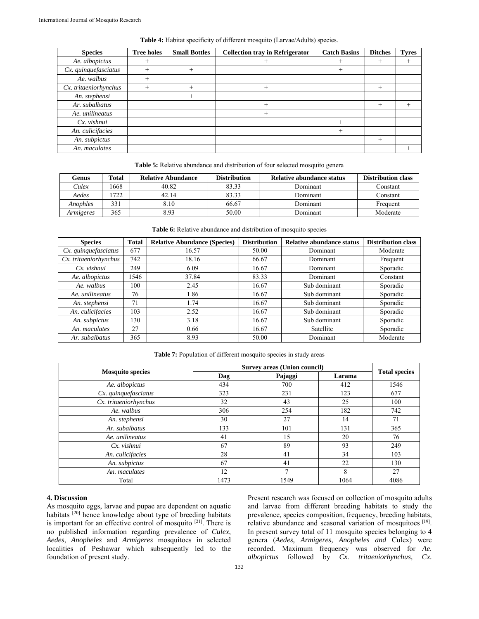| <b>Species</b>        | <b>Tree holes</b> | <b>Small Bottles</b> | <b>Collection tray in Refrigerator</b> | <b>Catch Basins</b> | <b>Ditches</b> | <b>Tyres</b> |
|-----------------------|-------------------|----------------------|----------------------------------------|---------------------|----------------|--------------|
| Ae. albopictus        | $\! +$            |                      |                                        |                     | $^+$           |              |
| Cx. quinquefasciatus  |                   |                      |                                        | $\, +$              |                |              |
| Ae. walbus            | $\overline{+}$    |                      |                                        |                     |                |              |
| Cx. tritaeniorhynchus | $\! +$            |                      |                                        |                     | $^{+}$         |              |
| An. stephensi         |                   |                      |                                        |                     |                |              |
| Ar. subalbatus        |                   |                      |                                        |                     | $^{+}$         |              |
| Ae. unilineatus       |                   |                      |                                        |                     |                |              |
| Cx. vishnui           |                   |                      |                                        |                     |                |              |
| An. culicifacies      |                   |                      |                                        | $\, +$              |                |              |
| An. subpictus         |                   |                      |                                        |                     | $^{+}$         |              |
| An. maculates         |                   |                      |                                        |                     |                |              |

**Table 4:** Habitat specificity of different mosquito (Larvae/Adults) species.

| <b>Table 5:</b> Relative abundance and distribution of four selected mosquito genera |  |  |  |
|--------------------------------------------------------------------------------------|--|--|--|
|                                                                                      |  |  |  |

| Genus     | <b>Total</b> | <b>Relative Abundance</b> | <b>Distribution</b><br><b>Relative abundance status</b> |          | <b>Distribution class</b> |
|-----------|--------------|---------------------------|---------------------------------------------------------|----------|---------------------------|
| Culex     | 1668         | 40.82                     | 83.33                                                   | Dominant | Constant                  |
| Aedes     | .722         | 42.14                     | 83.33                                                   | Dominant | Constant                  |
| Anophles  | 331          | 8.10                      | 66.67                                                   | Dominant | Frequent                  |
| Armigeres | 365          | 8.93                      | 50.00                                                   | Dominant | Moderate                  |

**Table 6:** Relative abundance and distribution of mosquito species

| <b>Species</b>        | <b>Total</b> | <b>Relative Abundance (Species)</b> | <b>Distribution</b> | <b>Relative abundance status</b> | <b>Distribution class</b> |  |
|-----------------------|--------------|-------------------------------------|---------------------|----------------------------------|---------------------------|--|
| Cx. quinquefasciatus  | 677          | 16.57                               | 50.00               | Dominant                         | Moderate                  |  |
| Cx. tritaeniorhynchus | 742          | 18.16                               | 66.67               | Dominant                         | Frequent                  |  |
| Cx. vishnui           | 249          | 6.09                                | 16.67               | Dominant                         | Sporadic                  |  |
| Ae. albopictus        | 1546         | 37.84                               | 83.33               | Dominant                         | Constant                  |  |
| Ae. walbus            | 100          | 2.45                                | 16.67               | Sub dominant                     | Sporadic                  |  |
| Ae. unilineatus       | 76           | 1.86                                | 16.67               | Sub dominant                     | Sporadic                  |  |
| An. stephensi         | 71           | 1.74                                | 16.67               | Sub dominant                     | Sporadic                  |  |
| An. culicifacies      | 103          | 2.52                                | 16.67               | Sub dominant                     | Sporadic                  |  |
| An. subpictus         | 130          | 3.18                                | 16.67               | Sub dominant                     | Sporadic                  |  |
| An. maculates         | 27           | 0.66                                | 16.67               | Satellite                        | Sporadic                  |  |
| Ar. subalbatus        | 365          | 8.93                                | 50.00               | Dominant                         | Moderate                  |  |

**Table 7:** Population of different mosquito species in study areas

|                         | <b>Survey areas (Union council)</b> |         |        |                      |  |
|-------------------------|-------------------------------------|---------|--------|----------------------|--|
| <b>Mosquito species</b> | Dag                                 | Pajaggi | Larama | <b>Total species</b> |  |
| Ae. albopictus          | 434                                 | 700     | 412    | 1546                 |  |
| Cx. quinquefasciatus    | 323                                 | 231     | 123    | 677                  |  |
| Cx. tritaeniorhynchus   | 32                                  | 43      | 25     | 100                  |  |
| Ae. walbus              | 306                                 | 254     | 182    | 742                  |  |
| An. stephensi           | 30                                  | 27      | 14     | 71                   |  |
| Ar. subalbatus          | 133                                 | 101     | 131    | 365                  |  |
| Ae. unilineatus         | 41                                  | 15      | 20     | 76                   |  |
| Cx. vishnui             | 67                                  | 89      | 93     | 249                  |  |
| An. culicifacies        | 28                                  | 41      | 34     | 103                  |  |
| An. subpictus           | 67                                  | 41      | 22     | 130                  |  |
| An. maculates           | 12                                  |         | 8      | 27                   |  |
| Total                   | 1473                                | 1549    | 1064   | 4086                 |  |

## **4. Discussion**

As mosquito eggs, larvae and pupae are dependent on aquatic habitats <sup>[20]</sup> hence knowledge about type of breeding habitats is important for an effective control of mosquito [21]. There is no published information regarding prevalence of *Culex*, *Aedes*, *Anopheles* and *Armigeres* mosquitoes in selected localities of Peshawar which subsequently led to the foundation of present study.

Present research was focused on collection of mosquito adults and larvae from different breeding habitats to study the prevalence, species composition, frequency, breeding habitats, relative abundance and seasonal variation of mosquitoes [19]. In present survey total of 11 mosquito species belonging to 4 genera (*Aedes, Armigeres, Anopheles and* Culex) were recorded. Maximum frequency was observed for *Ae. albopictus* followed by *Cx. tritaeniorhynchus, Cx.*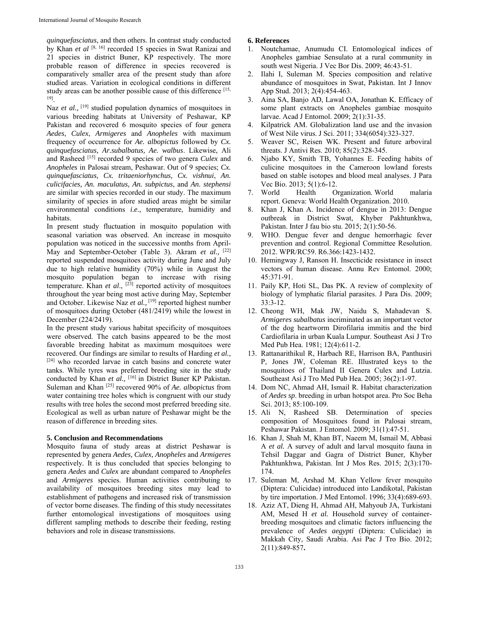*quinquefasciatus*, and then others. In contrast study conducted by Khan *et al* [8, 16] recorded 15 species in Swat Ranizai and 21 species in district Buner, KP respectively. The more probable reason of difference in species recovered is comparatively smaller area of the present study than afore studied areas. Variation in ecological conditions in different study areas can be another possible cause of this difference [15, 19].

Naz et al., <sup>[19]</sup> studied population dynamics of mosquitoes in various breeding habitats at University of Peshawar, KP Pakistan and recovered 6 mosquito species of four genera *Aedes*, *Culex*, *Armigeres* and *Anopheles* with maximum frequency of occurrence for *Ae. albopictus* followed by *Cx. quinquefasciatus, Ar.subalbatus, Ae. walbus*. Likewise, Ali and Rasheed [15] recorded 9 species of two genera *Culex* and *Anopheles* in Palosai stream, Peshawar. Out of 9 species; *Cx. quinquefasciatus, Cx. tritaeniorhynchus, Cx. vishnui*, *An. culicifacies, An. maculatus, An. subpictus*, and *An. stephensi* are similar with species recorded in our study. The maximum similarity of species in afore studied areas might be similar environmental conditions *i.e.,* temperature, humidity and habitats.

In present study fluctuation in mosquito population with seasonal variation was observed. An increase in mosquito population was noticed in the successive months from April-May and September-October (Table 3). Akram et al., <sup>[22]</sup> reported suspended mosquitoes activity during June and July due to high relative humidity (70%) while in August the mosquito population began to increase with rising temperature. Khan et al., <sup>[23]</sup> reported activity of mosquitoes throughout the year being most active during May, September and October. Likewise Naz *et al.,* [19] reported highest number of mosquitoes during October (481/2419) while the lowest in December (224/2419).

In the present study various habitat specificity of mosquitoes were observed. The catch basins appeared to be the most favorable breeding habitat as maximum mosquitoes were recovered. Our findings are similar to results of Harding *et al.,* [24] who recorded larvae in catch basins and concrete water tanks. While tyres was preferred breeding site in the study conducted by Khan et al., <sup>[16]</sup> in District Buner KP Pakistan. Suleman and Khan [25] recovered 90% of *Ae. albopictus* from water containing tree holes which is congruent with our study results with tree holes the second most preferred breeding site. Ecological as well as urban nature of Peshawar might be the reason of difference in breeding sites.

#### **5. Conclusion and Recommendations**

Mosquito fauna of study areas at district Peshawar is represented by genera *Aedes, Culex, Anopheles* and *Armigeres*  respectively*.* It is thus concluded that species belonging to genera *Aedes* and *Culex* are abundant compared to *Anopheles*  and *Armigeres* species. Human activities contributing to availability of mosquitoes breeding sites may lead to establishment of pathogens and increased risk of transmission of vector borne diseases. The finding of this study necessitates further entomological investigations of mosquitoes using different sampling methods to describe their feeding, resting behaviors and role in disease transmissions.

#### **6. References**

- 1. Noutchamae, Anumudu CI. Entomological indices of Anopheles gambiae Sensulato at a rural community in south west Nigeria. J Vec Bor Dis. 2009; 46:43-51.
- 2. Ilahi I, Suleman M. Species composition and relative abundance of mosquitoes in Swat, Pakistan. Int J Innov App Stud. 2013; 2(4):454-463.
- 3. Aina SA, Banjo AD, Lawal OA, Jonathan K. Efficacy of some plant extracts on Anopheles gambiae mosquito larvae. Acad J Entomol. 2009; 2(1):31-35.
- 4. Kilpatrick AM. Globalization land use and the invasion of West Nile virus. J Sci. 2011; 334(6054):323-327.
- 5. Weaver SC, Reisen WK. Present and future arboviral threats. J Antivi Res. 2010; 85(2):328-345.
- 6. Njabo KY, Smith TB, Yohannes E. Feeding habits of culicine mosquitoes in the Cameroon lowland forests based on stable isotopes and blood meal analyses. J Para Vec Bio. 2013; 5(1):6-12.
- 7. World Health Organization. World malaria report. Geneva: World Health Organization. 2010.
- Khan J, Khan A. Incidence of dengue in 2013: Dengue outbreak in District Swat, Khyber Pakhtunkhwa, Pakistan. Inter J fau bio stu. 2015; 2(1):50-56.
- 9. WHO. Dengue fever and dengue hemorrhagic fever prevention and control. Regional Committee Resolution. 2012. WPR/RC59. R6.366:1423-1432.
- 10. Hemingway J, Ranson H. Insecticide resistance in insect vectors of human disease. Annu Rev Entomol. 2000; 45:371-91.
- 11. Paily KP, Hoti SL, Das PK. A review of complexity of biology of lymphatic filarial parasites. J Para Dis. 2009; 33:3-12.
- 12. Cheong WH, Mak JW, Naidu S, Mahadevan S. *Armigeres subalbatus* incriminated as an important vector of the dog heartworm Dirofilaria immitis and the bird Cardiofilaria in urban Kuala Lumpur. Southeast Asi J Tro Med Pub Hea. 1981; 12(4):611-2.
- 13. Rattanarithikul R, Harbach RE, Harrison BA, Panthusiri P, Jones JW, Coleman RE. Illustrated keys to the mosquitoes of Thailand II Genera Culex and Lutzia. Southeast Asi J Tro Med Pub Hea. 2005; 36(2):1-97.
- 14. Dom NC, Ahmad AH, Ismail R. Habitat characterization of *Aedes sp*. breeding in urban hotspot area. Pro Soc Beha Sci. 2013; 85:100-109.
- 15. Ali N, Rasheed SB. Determination of species composition of Mosquitoes found in Palosai stream, Peshawar Pakistan. J Entomol. 2009; 31(1):47-51.
- 16. Khan J, Shah M, Khan BT, Naeem M, Ismail M, Abbasi A *et al.* A survey of adult and larval mosquito fauna in Tehsil Daggar and Gagra of District Buner, Khyber Pakhtunkhwa, Pakistan. Int J Mos Res. 2015; 2(3):170- 174.
- 17. Suleman M, Arshad M. Khan Yellow fever mosquito (Diptera: Culicidae) introduced into Landikotal, Pakistan by tire importation. J Med Entomol. 1996; 33(4):689-693.
- 18. Aziz AT, Dieng H, Ahmad AH, Mahyoub JA, Turkistani AM, Mesed H *et al.* Household survey of containerbreeding mosquitoes and climatic factors influencing the prevalence of *Aedes aegypti* (Diptera: Culicidae) in Makkah City, Saudi Arabia. Asi Pac J Tro Bio. 2012; 2(11):849-857**.**